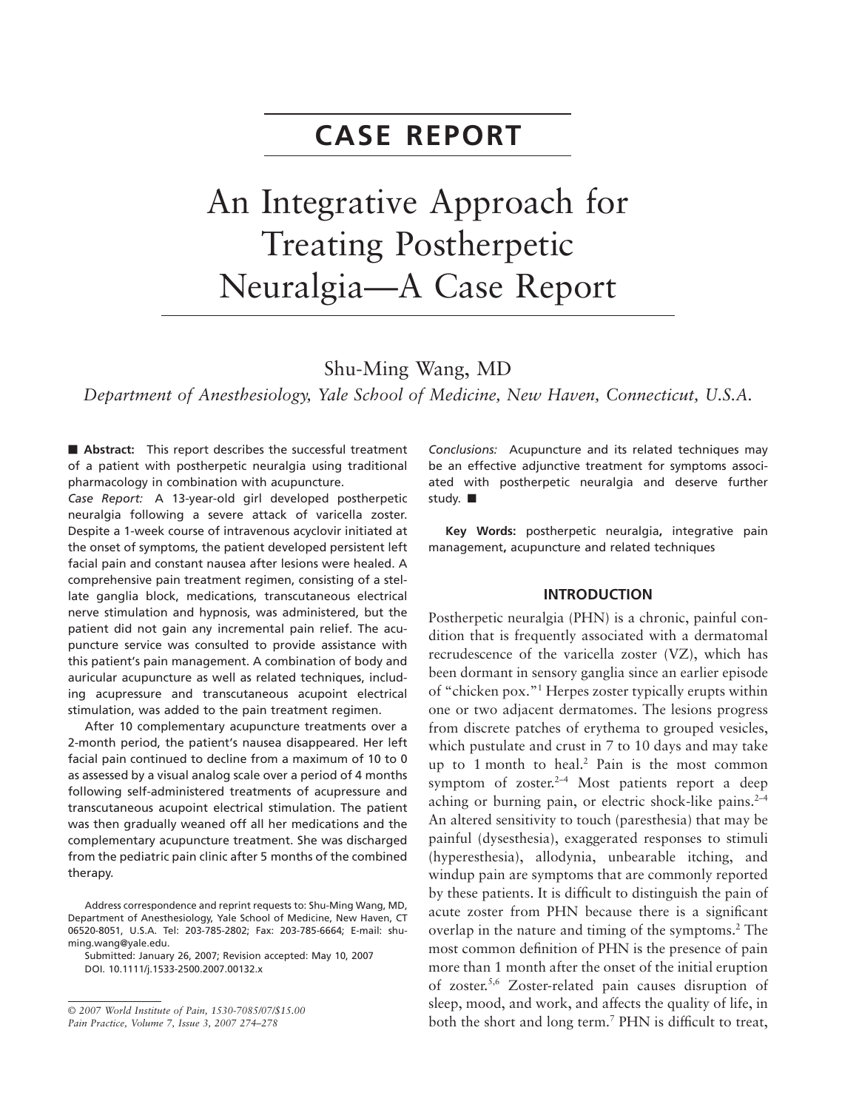## **CASE REPORT**

# An Integrative Approach for Treating Postherpetic Neuralgia—A Case Report

### Shu-Ming Wang, MD

*Department of Anesthesiology, Yale School of Medicine, New Haven, Connecticut, U.S.A.*

**- Abstract:** This report describes the successful treatment of a patient with postherpetic neuralgia using traditional pharmacology in combination with acupuncture.

*Case Report:* A 13-year-old girl developed postherpetic neuralgia following a severe attack of varicella zoster. Despite a 1-week course of intravenous acyclovir initiated at the onset of symptoms, the patient developed persistent left facial pain and constant nausea after lesions were healed. A comprehensive pain treatment regimen, consisting of a stellate ganglia block, medications, transcutaneous electrical nerve stimulation and hypnosis, was administered, but the patient did not gain any incremental pain relief. The acupuncture service was consulted to provide assistance with this patient's pain management. A combination of body and auricular acupuncture as well as related techniques, including acupressure and transcutaneous acupoint electrical stimulation, was added to the pain treatment regimen.

After 10 complementary acupuncture treatments over a 2-month period, the patient's nausea disappeared. Her left facial pain continued to decline from a maximum of 10 to 0 as assessed by a visual analog scale over a period of 4 months following self-administered treatments of acupressure and transcutaneous acupoint electrical stimulation. The patient was then gradually weaned off all her medications and the complementary acupuncture treatment. She was discharged from the pediatric pain clinic after 5 months of the combined therapy.

Submitted: January 26, 2007; Revision accepted: May 10, 2007 DOI. 10.1111/j.1533-2500.2007.00132.x

*Conclusions:* Acupuncture and its related techniques may be an effective adjunctive treatment for symptoms associated with postherpetic neuralgia and deserve further study.  $\blacksquare$ 

**Key Words:** postherpetic neuralgia**,** integrative pain management**,** acupuncture and related techniques

#### **INTRODUCTION**

Postherpetic neuralgia (PHN) is a chronic, painful condition that is frequently associated with a dermatomal recrudescence of the varicella zoster (VZ), which has been dormant in sensory ganglia since an earlier episode of "chicken pox."1 Herpes zoster typically erupts within one or two adjacent dermatomes. The lesions progress from discrete patches of erythema to grouped vesicles, which pustulate and crust in 7 to 10 days and may take up to 1 month to heal.2 Pain is the most common symptom of zoster. $2-4$  Most patients report a deep aching or burning pain, or electric shock-like pains. $2-4$ An altered sensitivity to touch (paresthesia) that may be painful (dysesthesia), exaggerated responses to stimuli (hyperesthesia), allodynia, unbearable itching, and windup pain are symptoms that are commonly reported by these patients. It is difficult to distinguish the pain of acute zoster from PHN because there is a significant overlap in the nature and timing of the symptoms.2 The most common definition of PHN is the presence of pain more than 1 month after the onset of the initial eruption of zoster.5,6 Zoster-related pain causes disruption of sleep, mood, and work, and affects the quality of life, in both the short and long term.7 PHN is difficult to treat,

Address correspondence and reprint requests to: Shu-Ming Wang, MD, Department of Anesthesiology, Yale School of Medicine, New Haven, CT 06520-8051, U.S.A. Tel: 203-785-2802; Fax: 203-785-6664; E-mail: shuming.[wang@yale.edu.](mailto:wang@yale.edu)

<sup>©</sup> *2007 World Institute of Pain, 1530-7085/07/\$15.00 Pain Practice, Volume 7, Issue 3, 2007 274–278*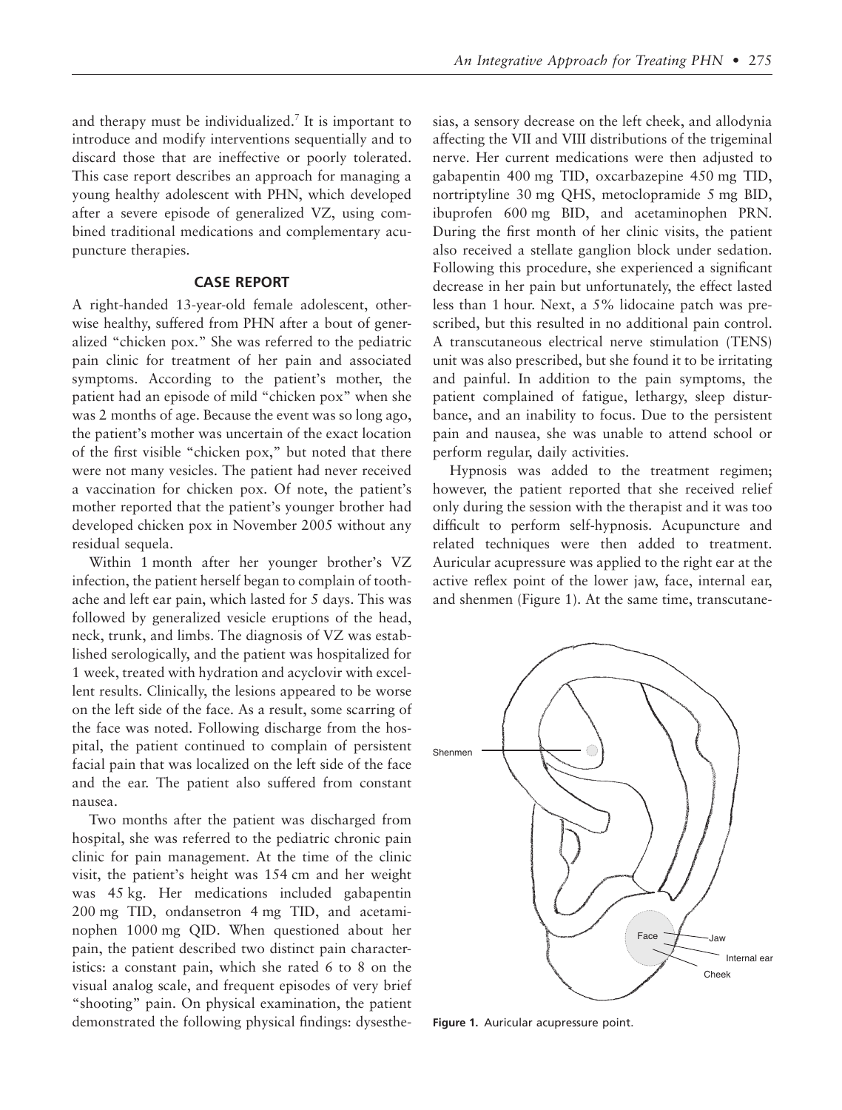and therapy must be individualized.7 It is important to introduce and modify interventions sequentially and to discard those that are ineffective or poorly tolerated. This case report describes an approach for managing a young healthy adolescent with PHN, which developed after a severe episode of generalized VZ, using combined traditional medications and complementary acupuncture therapies.

#### **CASE REPORT**

A right-handed 13-year-old female adolescent, otherwise healthy, suffered from PHN after a bout of generalized "chicken pox." She was referred to the pediatric pain clinic for treatment of her pain and associated symptoms. According to the patient's mother, the patient had an episode of mild "chicken pox" when she was 2 months of age. Because the event was so long ago, the patient's mother was uncertain of the exact location of the first visible "chicken pox," but noted that there were not many vesicles. The patient had never received a vaccination for chicken pox. Of note, the patient's mother reported that the patient's younger brother had developed chicken pox in November 2005 without any residual sequela.

Within 1 month after her younger brother's VZ infection, the patient herself began to complain of toothache and left ear pain, which lasted for 5 days. This was followed by generalized vesicle eruptions of the head, neck, trunk, and limbs. The diagnosis of VZ was established serologically, and the patient was hospitalized for 1 week, treated with hydration and acyclovir with excellent results. Clinically, the lesions appeared to be worse on the left side of the face. As a result, some scarring of the face was noted. Following discharge from the hospital, the patient continued to complain of persistent facial pain that was localized on the left side of the face and the ear. The patient also suffered from constant nausea.

Two months after the patient was discharged from hospital, she was referred to the pediatric chronic pain clinic for pain management. At the time of the clinic visit, the patient's height was 154 cm and her weight was 45 kg. Her medications included gabapentin 200 mg TID, ondansetron 4 mg TID, and acetaminophen 1000 mg QID. When questioned about her pain, the patient described two distinct pain characteristics: a constant pain, which she rated 6 to 8 on the visual analog scale, and frequent episodes of very brief "shooting" pain. On physical examination, the patient demonstrated the following physical findings: dysesthesias, a sensory decrease on the left cheek, and allodynia affecting the VII and VIII distributions of the trigeminal nerve. Her current medications were then adjusted to gabapentin 400 mg TID, oxcarbazepine 450 mg TID, nortriptyline 30 mg QHS, metoclopramide 5 mg BID, ibuprofen 600 mg BID, and acetaminophen PRN. During the first month of her clinic visits, the patient also received a stellate ganglion block under sedation. Following this procedure, she experienced a significant decrease in her pain but unfortunately, the effect lasted less than 1 hour. Next, a 5% lidocaine patch was prescribed, but this resulted in no additional pain control. A transcutaneous electrical nerve stimulation (TENS) unit was also prescribed, but she found it to be irritating and painful. In addition to the pain symptoms, the patient complained of fatigue, lethargy, sleep disturbance, and an inability to focus. Due to the persistent pain and nausea, she was unable to attend school or perform regular, daily activities.

Hypnosis was added to the treatment regimen; however, the patient reported that she received relief only during the session with the therapist and it was too difficult to perform self-hypnosis. Acupuncture and related techniques were then added to treatment. Auricular acupressure was applied to the right ear at the active reflex point of the lower jaw, face, internal ear, and shenmen (Figure 1). At the same time, transcutane-



**Figure 1.** Auricular acupressure point.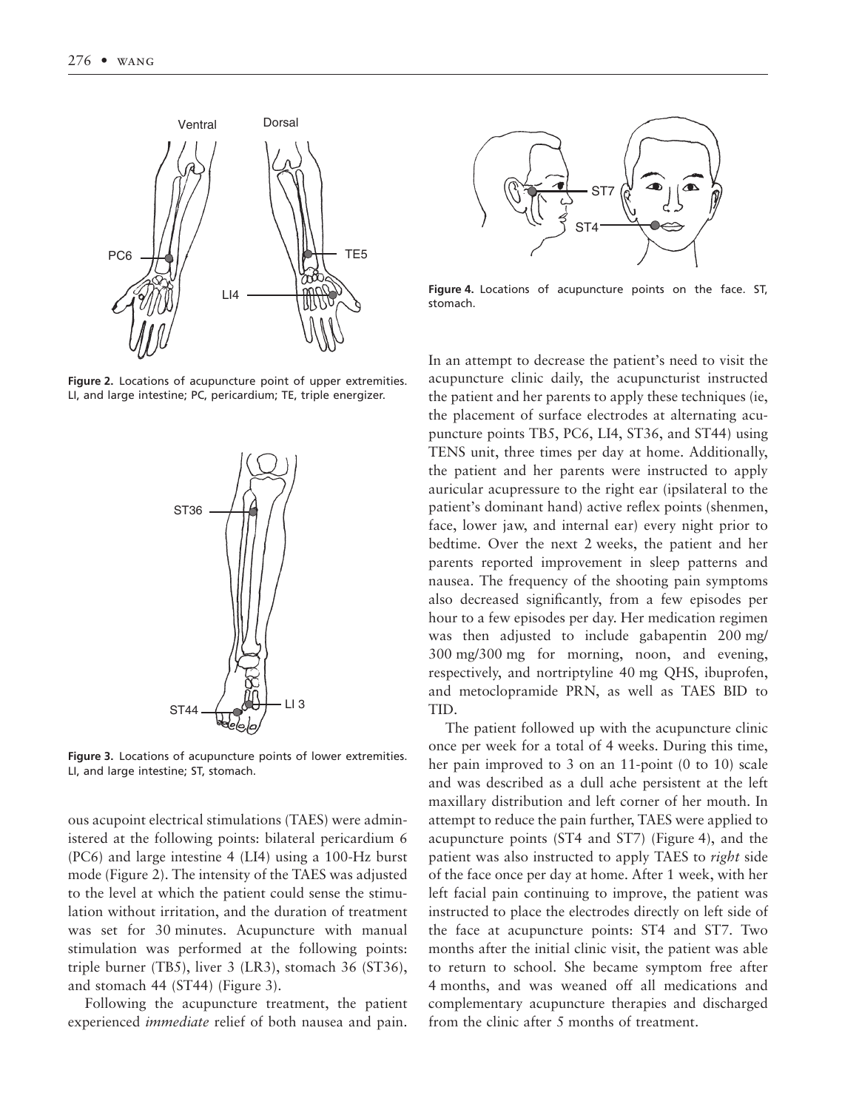

**Figure 2.** Locations of acupuncture point of upper extremities. LI, and large intestine; PC, pericardium; TE, triple energizer.



**Figure 3.** Locations of acupuncture points of lower extremities. LI, and large intestine; ST, stomach.

ous acupoint electrical stimulations (TAES) were administered at the following points: bilateral pericardium 6 (PC6) and large intestine 4 (LI4) using a 100-Hz burst mode (Figure 2). The intensity of the TAES was adjusted to the level at which the patient could sense the stimulation without irritation, and the duration of treatment was set for 30 minutes. Acupuncture with manual stimulation was performed at the following points: triple burner (TB5), liver 3 (LR3), stomach 36 (ST36), and stomach 44 (ST44) (Figure 3).

Following the acupuncture treatment, the patient experienced *immediate* relief of both nausea and pain.



**Figure 4.** Locations of acupuncture points on the face. ST, stomach.

In an attempt to decrease the patient's need to visit the acupuncture clinic daily, the acupuncturist instructed the patient and her parents to apply these techniques (ie, the placement of surface electrodes at alternating acupuncture points TB5, PC6, LI4, ST36, and ST44) using TENS unit, three times per day at home. Additionally, the patient and her parents were instructed to apply auricular acupressure to the right ear (ipsilateral to the patient's dominant hand) active reflex points (shenmen, face, lower jaw, and internal ear) every night prior to bedtime. Over the next 2 weeks, the patient and her parents reported improvement in sleep patterns and nausea. The frequency of the shooting pain symptoms also decreased significantly, from a few episodes per hour to a few episodes per day. Her medication regimen was then adjusted to include gabapentin 200 mg/ 300 mg/300 mg for morning, noon, and evening, respectively, and nortriptyline 40 mg QHS, ibuprofen, and metoclopramide PRN, as well as TAES BID to TID.

The patient followed up with the acupuncture clinic once per week for a total of 4 weeks. During this time, her pain improved to 3 on an 11-point (0 to 10) scale and was described as a dull ache persistent at the left maxillary distribution and left corner of her mouth. In attempt to reduce the pain further, TAES were applied to acupuncture points (ST4 and ST7) (Figure 4), and the patient was also instructed to apply TAES to *right* side of the face once per day at home. After 1 week, with her left facial pain continuing to improve, the patient was instructed to place the electrodes directly on left side of the face at acupuncture points: ST4 and ST7. Two months after the initial clinic visit, the patient was able to return to school. She became symptom free after 4 months, and was weaned off all medications and complementary acupuncture therapies and discharged from the clinic after 5 months of treatment.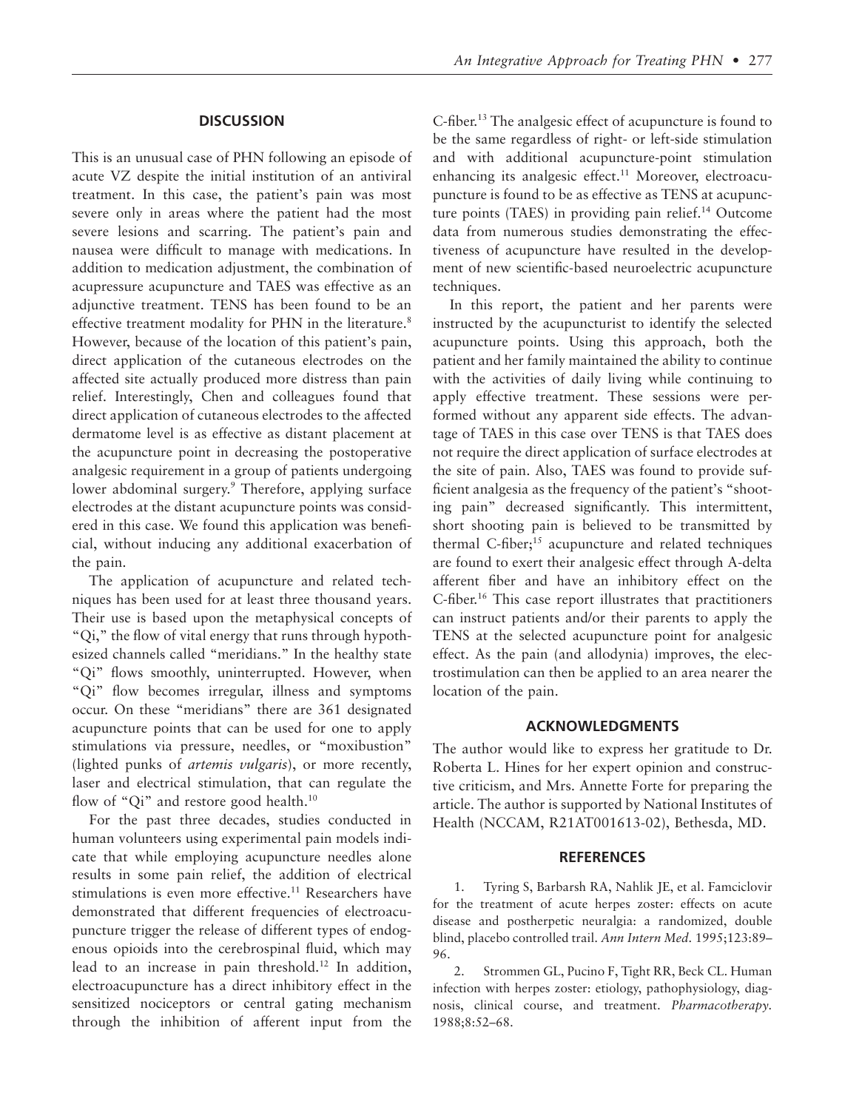#### **DISCUSSION**

This is an unusual case of PHN following an episode of acute VZ despite the initial institution of an antiviral treatment. In this case, the patient's pain was most severe only in areas where the patient had the most severe lesions and scarring. The patient's pain and nausea were difficult to manage with medications. In addition to medication adjustment, the combination of acupressure acupuncture and TAES was effective as an adjunctive treatment. TENS has been found to be an effective treatment modality for PHN in the literature.<sup>8</sup> However, because of the location of this patient's pain, direct application of the cutaneous electrodes on the affected site actually produced more distress than pain relief. Interestingly, Chen and colleagues found that direct application of cutaneous electrodes to the affected dermatome level is as effective as distant placement at the acupuncture point in decreasing the postoperative analgesic requirement in a group of patients undergoing lower abdominal surgery.<sup>9</sup> Therefore, applying surface electrodes at the distant acupuncture points was considered in this case. We found this application was beneficial, without inducing any additional exacerbation of the pain.

The application of acupuncture and related techniques has been used for at least three thousand years. Their use is based upon the metaphysical concepts of "Qi," the flow of vital energy that runs through hypothesized channels called "meridians." In the healthy state "Qi" flows smoothly, uninterrupted. However, when "Qi" flow becomes irregular, illness and symptoms occur. On these "meridians" there are 361 designated acupuncture points that can be used for one to apply stimulations via pressure, needles, or "moxibustion" (lighted punks of *artemis vulgaris*), or more recently, laser and electrical stimulation, that can regulate the flow of "Qi" and restore good health.<sup>10</sup>

For the past three decades, studies conducted in human volunteers using experimental pain models indicate that while employing acupuncture needles alone results in some pain relief, the addition of electrical stimulations is even more effective.<sup>11</sup> Researchers have demonstrated that different frequencies of electroacupuncture trigger the release of different types of endogenous opioids into the cerebrospinal fluid, which may lead to an increase in pain threshold.12 In addition, electroacupuncture has a direct inhibitory effect in the sensitized nociceptors or central gating mechanism through the inhibition of afferent input from the C-fiber.13 The analgesic effect of acupuncture is found to be the same regardless of right- or left-side stimulation and with additional acupuncture-point stimulation enhancing its analgesic effect.<sup>11</sup> Moreover, electroacupuncture is found to be as effective as TENS at acupuncture points (TAES) in providing pain relief.<sup>14</sup> Outcome data from numerous studies demonstrating the effectiveness of acupuncture have resulted in the development of new scientific-based neuroelectric acupuncture techniques.

In this report, the patient and her parents were instructed by the acupuncturist to identify the selected acupuncture points. Using this approach, both the patient and her family maintained the ability to continue with the activities of daily living while continuing to apply effective treatment. These sessions were performed without any apparent side effects. The advantage of TAES in this case over TENS is that TAES does not require the direct application of surface electrodes at the site of pain. Also, TAES was found to provide sufficient analgesia as the frequency of the patient's "shooting pain" decreased significantly. This intermittent, short shooting pain is believed to be transmitted by thermal  $C$ -fiber;<sup>15</sup> acupuncture and related techniques are found to exert their analgesic effect through A-delta afferent fiber and have an inhibitory effect on the C-fiber.16 This case report illustrates that practitioners can instruct patients and/or their parents to apply the TENS at the selected acupuncture point for analgesic effect. As the pain (and allodynia) improves, the electrostimulation can then be applied to an area nearer the location of the pain.

#### **ACKNOWLEDGMENTS**

The author would like to express her gratitude to Dr. Roberta L. Hines for her expert opinion and constructive criticism, and Mrs. Annette Forte for preparing the article. The author is supported by National Institutes of Health (NCCAM, R21AT001613-02), Bethesda, MD.

#### **REFERENCES**

1. Tyring S, Barbarsh RA, Nahlik JE, et al. Famciclovir for the treatment of acute herpes zoster: effects on acute disease and postherpetic neuralgia: a randomized, double blind, placebo controlled trail. *Ann Intern Med.* 1995;123:89– 96.

2. Strommen GL, Pucino F, Tight RR, Beck CL. Human infection with herpes zoster: etiology, pathophysiology, diagnosis, clinical course, and treatment. *Pharmacotherapy.* 1988;8:52–68.